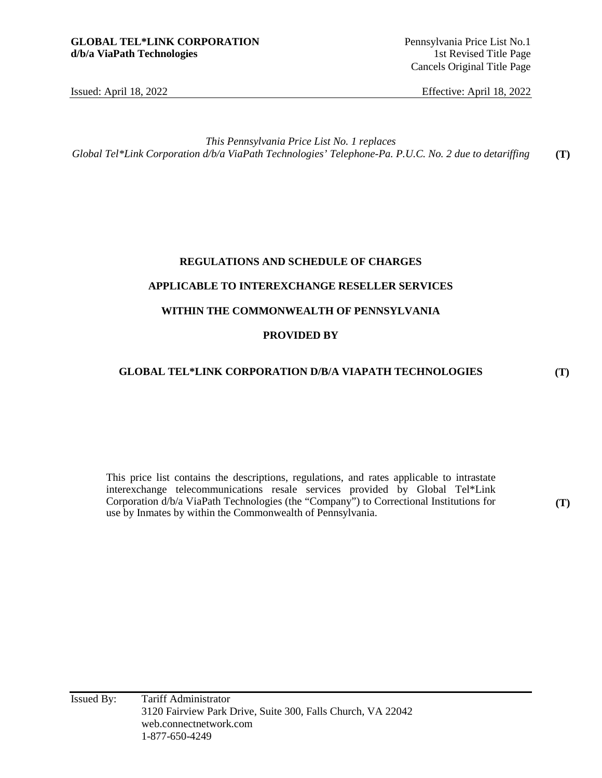Cancels Original Title Page

Issued: April 18, 2022 Effective: April 18, 2022

*This Pennsylvania Price List No. 1 replaces Global Tel\*Link Corporation d/b/a ViaPath Technologies' Telephone-Pa. P.U.C. No. 2 due to detariffing*  **(T)** 

# **REGULATIONS AND SCHEDULE OF CHARGES APPLICABLE TO INTEREXCHANGE RESELLER SERVICES WITHIN THE COMMONWEALTH OF PENNSYLVANIA PROVIDED BY**

#### **GLOBAL TEL\*LINK CORPORATION D/B/A VIAPATH TECHNOLOGIES**

This price list contains the descriptions, regulations, and rates applicable to intrastate interexchange telecommunications resale services provided by Global Tel\*Link Corporation d/b/a ViaPath Technologies (the "Company") to Correctional Institutions for use by Inmates by within the Commonwealth of Pennsylvania.

**(T)** 

**(T)**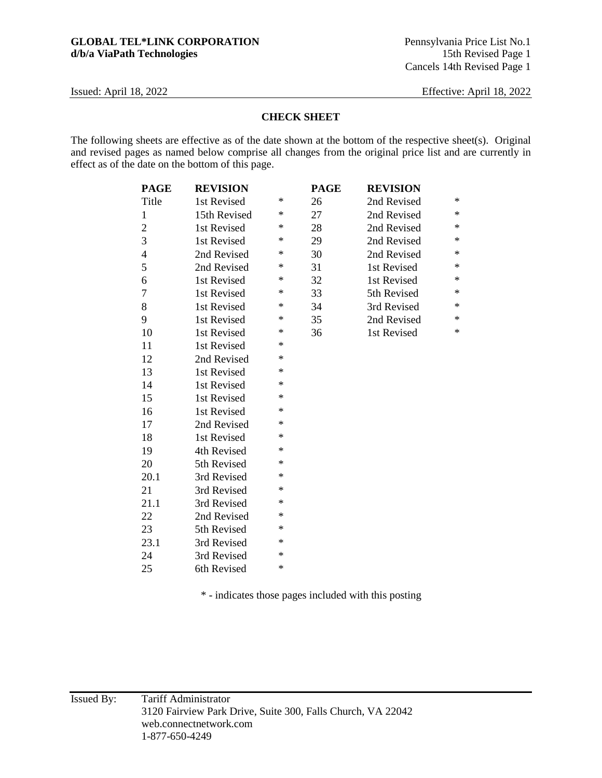#### **CHECK SHEET**

The following sheets are effective as of the date shown at the bottom of the respective sheet(s). Original and revised pages as named below comprise all changes from the original price list and are currently in effect as of the date on the bottom of this page.

| <b>PAGE</b>    | <b>REVISION</b> |        | <b>PAGE</b> | <b>REVISION</b> |        |
|----------------|-----------------|--------|-------------|-----------------|--------|
| Title          | 1st Revised     | ∗      | 26          | 2nd Revised     | $\ast$ |
| $\mathbf{1}$   | 15th Revised    | $\ast$ | 27          | 2nd Revised     | $\ast$ |
| $\overline{c}$ | 1st Revised     | ∗      | 28          | 2nd Revised     | $\ast$ |
| $\overline{3}$ | 1st Revised     | ∗      | 29          | 2nd Revised     | $\ast$ |
| $\overline{4}$ | 2nd Revised     | ∗      | 30          | 2nd Revised     | $\ast$ |
| 5              | 2nd Revised     | ∗      | 31          | 1st Revised     | $\ast$ |
| 6              | 1st Revised     | ∗      | 32          | 1st Revised     | $\ast$ |
| 7              | 1st Revised     | ∗      | 33          | 5th Revised     | $\ast$ |
| 8              | 1st Revised     | ∗      | 34          | 3rd Revised     | $\ast$ |
| 9              | 1st Revised     | ∗      | 35          | 2nd Revised     | $\ast$ |
| 10             | 1st Revised     | ∗      | 36          | 1st Revised     | $\ast$ |
| 11             | 1st Revised     | ∗      |             |                 |        |
| 12             | 2nd Revised     | $\ast$ |             |                 |        |
| 13             | 1st Revised     | ∗      |             |                 |        |
| 14             | 1st Revised     | $\ast$ |             |                 |        |
| 15             | 1st Revised     | ∗      |             |                 |        |
| 16             | 1st Revised     | ∗      |             |                 |        |
| 17             | 2nd Revised     | $\ast$ |             |                 |        |
| 18             | 1st Revised     | ∗      |             |                 |        |
| 19             | 4th Revised     | ∗      |             |                 |        |
| 20             | 5th Revised     | ∗      |             |                 |        |
| 20.1           | 3rd Revised     | ∗      |             |                 |        |
| 21             | 3rd Revised     | ∗      |             |                 |        |
| 21.1           | 3rd Revised     | ∗      |             |                 |        |
| 22             | 2nd Revised     | ∗      |             |                 |        |
| 23             | 5th Revised     | *      |             |                 |        |
| 23.1           | 3rd Revised     | ∗      |             |                 |        |
| 24             | 3rd Revised     | ∗      |             |                 |        |
| 25             | 6th Revised     | $\ast$ |             |                 |        |

\* - indicates those pages included with this posting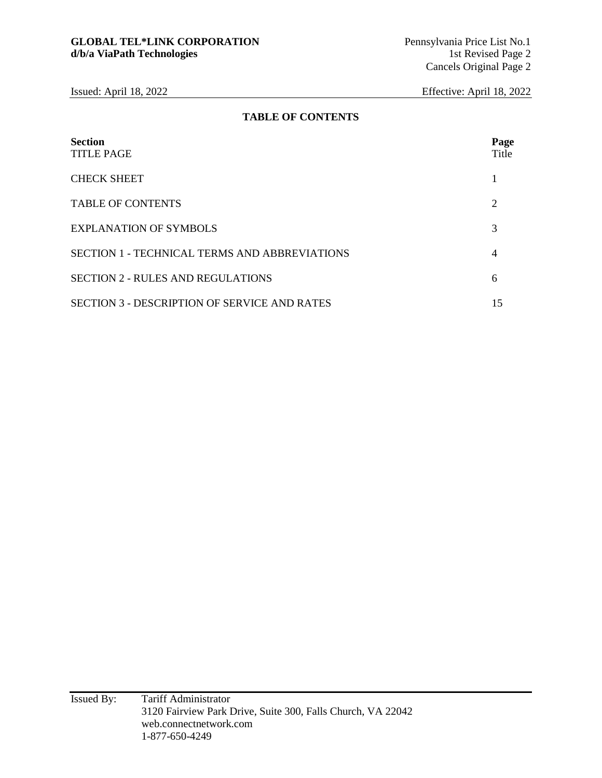#### **TABLE OF CONTENTS**

| <b>Section</b><br><b>TITLE PAGE</b>                  | Page<br>Title               |
|------------------------------------------------------|-----------------------------|
| <b>CHECK SHEET</b>                                   |                             |
| <b>TABLE OF CONTENTS</b>                             | $\mathcal{D}_{\mathcal{L}}$ |
| <b>EXPLANATION OF SYMBOLS</b>                        |                             |
| <b>SECTION 1 - TECHNICAL TERMS AND ABBREVIATIONS</b> | 4                           |
| <b>SECTION 2 - RULES AND REGULATIONS</b>             | 6                           |
| <b>SECTION 3 - DESCRIPTION OF SERVICE AND RATES</b>  | 15                          |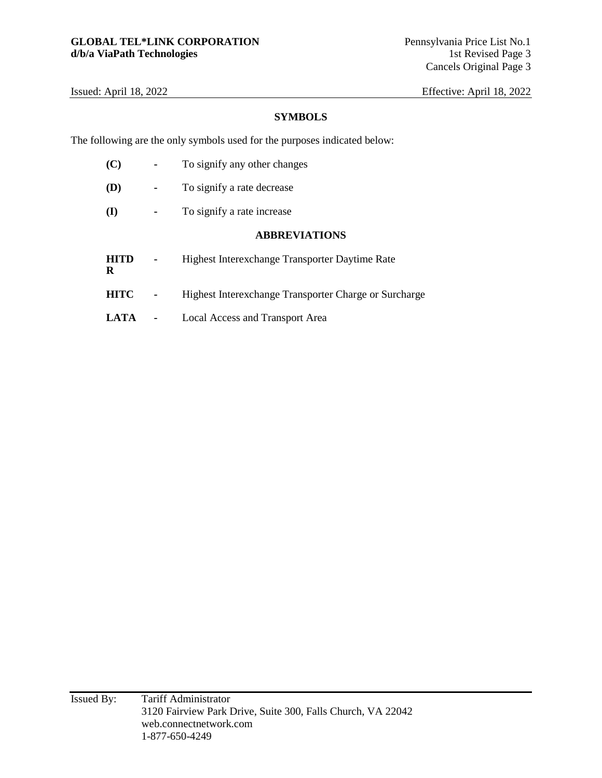#### **SYMBOLS**

The following are the only symbols used for the purposes indicated below:

| (C)              | To signify any other changes                          |
|------------------|-------------------------------------------------------|
| <b>(D)</b>       | To signify a rate decrease                            |
| (I)              | To signify a rate increase                            |
|                  | <b>ABBREVIATIONS</b>                                  |
| <b>HITD</b><br>R | Highest Interexchange Transporter Daytime Rate        |
| <b>HITC</b>      | Highest Interexchange Transporter Charge or Surcharge |
| LATA             | Local Access and Transport Area                       |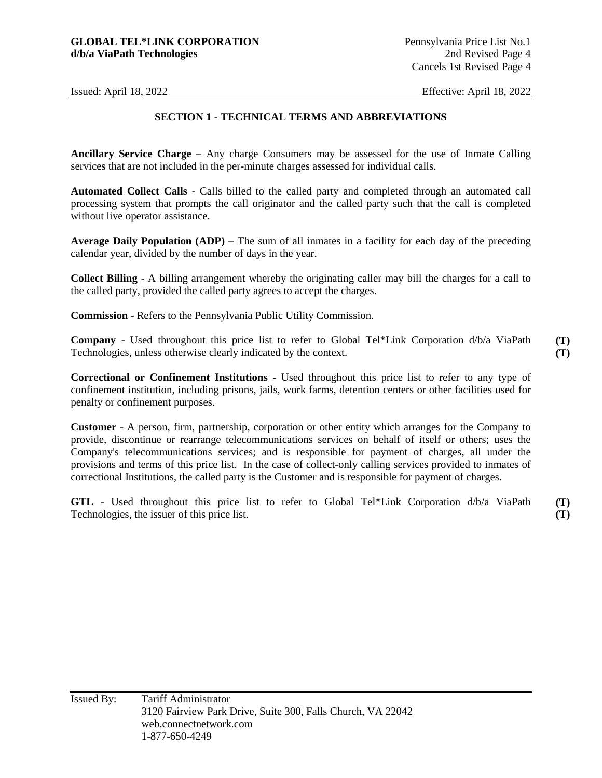#### **SECTION 1 - TECHNICAL TERMS AND ABBREVIATIONS**

**Ancillary Service Charge –** Any charge Consumers may be assessed for the use of Inmate Calling services that are not included in the per-minute charges assessed for individual calls.

**Automated Collect Calls** - Calls billed to the called party and completed through an automated call processing system that prompts the call originator and the called party such that the call is completed without live operator assistance.

**Average Daily Population (ADP) –** The sum of all inmates in a facility for each day of the preceding calendar year, divided by the number of days in the year.

**Collect Billing** - A billing arrangement whereby the originating caller may bill the charges for a call to the called party, provided the called party agrees to accept the charges.

**Commission** - Refers to the Pennsylvania Public Utility Commission.

**Company** - Used throughout this price list to refer to Global Tel\*Link Corporation d/b/a ViaPath Technologies, unless otherwise clearly indicated by the context.

**Correctional or Confinement Institutions -** Used throughout this price list to refer to any type of confinement institution, including prisons, jails, work farms, detention centers or other facilities used for penalty or confinement purposes.

**Customer** - A person, firm, partnership, corporation or other entity which arranges for the Company to provide, discontinue or rearrange telecommunications services on behalf of itself or others; uses the Company's telecommunications services; and is responsible for payment of charges, all under the provisions and terms of this price list. In the case of collect-only calling services provided to inmates of correctional Institutions, the called party is the Customer and is responsible for payment of charges.

**GTL** - Used throughout this price list to refer to Global Tel\*Link Corporation d/b/a ViaPath Technologies, the issuer of this price list. **(T) (T)**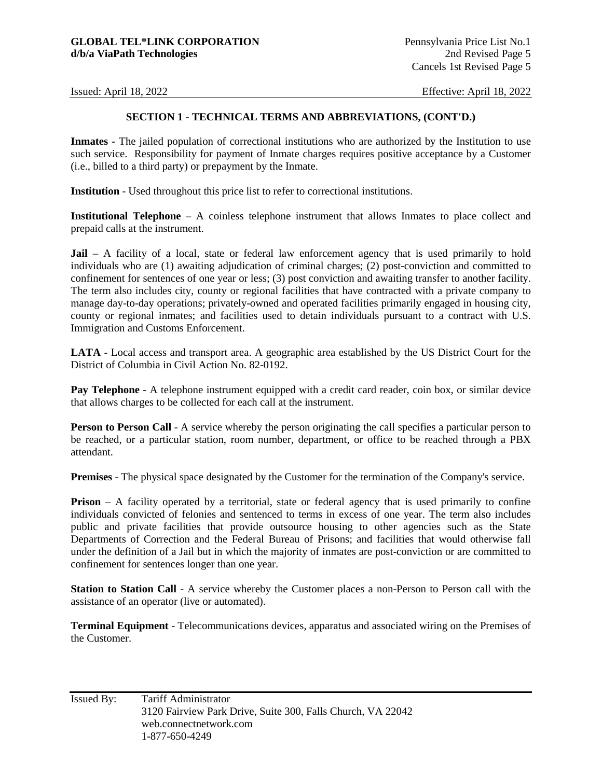#### **SECTION 1 - TECHNICAL TERMS AND ABBREVIATIONS, (CONT'D.)**

**Inmates** - The jailed population of correctional institutions who are authorized by the Institution to use such service. Responsibility for payment of Inmate charges requires positive acceptance by a Customer (i.e., billed to a third party) or prepayment by the Inmate.

**Institution** - Used throughout this price list to refer to correctional institutions.

**Institutional Telephone** – A coinless telephone instrument that allows Inmates to place collect and prepaid calls at the instrument.

**Jail** – A facility of a local, state or federal law enforcement agency that is used primarily to hold individuals who are (1) awaiting adjudication of criminal charges; (2) post-conviction and committed to confinement for sentences of one year or less; (3) post conviction and awaiting transfer to another facility. The term also includes city, county or regional facilities that have contracted with a private company to manage day-to-day operations; privately-owned and operated facilities primarily engaged in housing city, county or regional inmates; and facilities used to detain individuals pursuant to a contract with U.S. Immigration and Customs Enforcement.

**LATA** - Local access and transport area. A geographic area established by the US District Court for the District of Columbia in Civil Action No. 82-0192.

**Pay Telephone** - A telephone instrument equipped with a credit card reader, coin box, or similar device that allows charges to be collected for each call at the instrument.

**Person to Person Call** - A service whereby the person originating the call specifies a particular person to be reached, or a particular station, room number, department, or office to be reached through a PBX attendant.

**Premises** - The physical space designated by the Customer for the termination of the Company's service.

**Prison** – A facility operated by a territorial, state or federal agency that is used primarily to confine individuals convicted of felonies and sentenced to terms in excess of one year. The term also includes public and private facilities that provide outsource housing to other agencies such as the State Departments of Correction and the Federal Bureau of Prisons; and facilities that would otherwise fall under the definition of a Jail but in which the majority of inmates are post-conviction or are committed to confinement for sentences longer than one year.

**Station to Station Call** - A service whereby the Customer places a non-Person to Person call with the assistance of an operator (live or automated).

**Terminal Equipment** - Telecommunications devices, apparatus and associated wiring on the Premises of the Customer.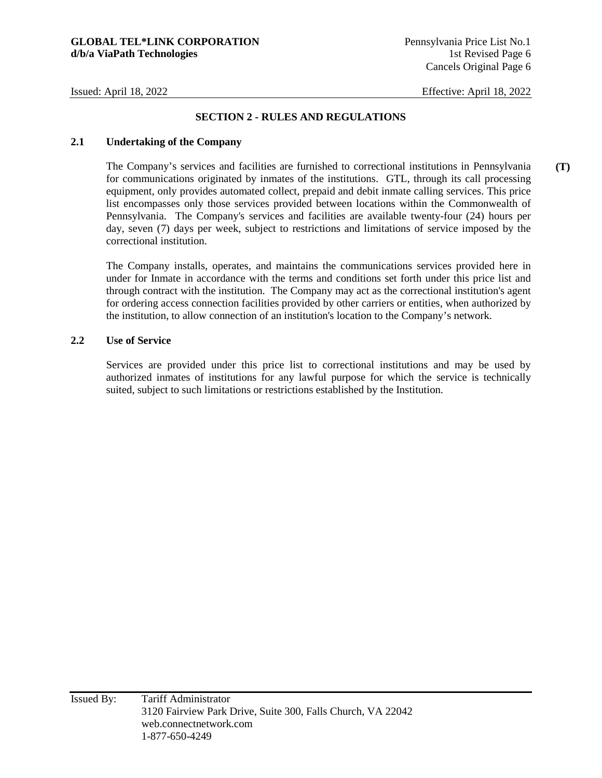**(T)** 

#### **SECTION 2 - RULES AND REGULATIONS**

#### **2.1 Undertaking of the Company**

The Company's services and facilities are furnished to correctional institutions in Pennsylvania for communications originated by inmates of the institutions. GTL, through its call processing equipment, only provides automated collect, prepaid and debit inmate calling services. This price list encompasses only those services provided between locations within the Commonwealth of Pennsylvania. The Company's services and facilities are available twenty-four (24) hours per day, seven (7) days per week, subject to restrictions and limitations of service imposed by the correctional institution.

The Company installs, operates, and maintains the communications services provided here in under for Inmate in accordance with the terms and conditions set forth under this price list and through contract with the institution. The Company may act as the correctional institution's agent for ordering access connection facilities provided by other carriers or entities, when authorized by the institution, to allow connection of an institution's location to the Company's network.

#### **2.2 Use of Service**

Services are provided under this price list to correctional institutions and may be used by authorized inmates of institutions for any lawful purpose for which the service is technically suited, subject to such limitations or restrictions established by the Institution.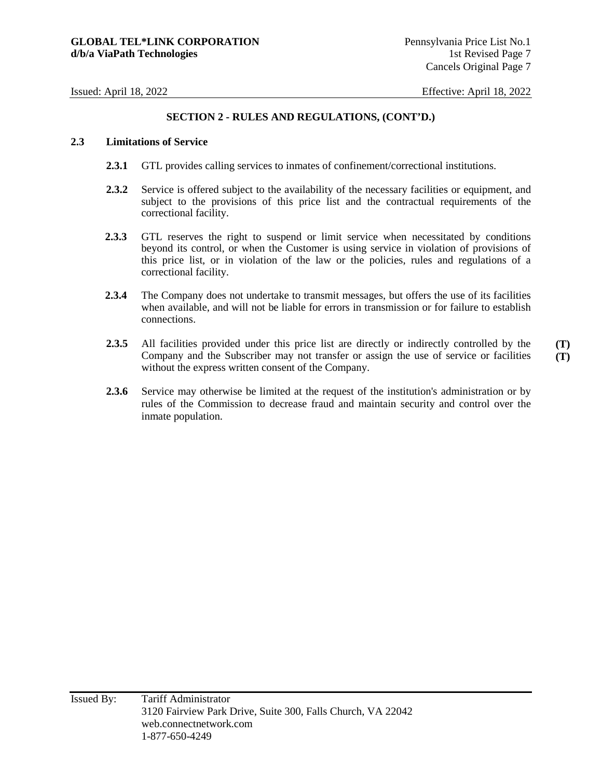#### **2.3 Limitations of Service**

- **2.3.1** GTL provides calling services to inmates of confinement/correctional institutions.
- **2.3.2** Service is offered subject to the availability of the necessary facilities or equipment, and subject to the provisions of this price list and the contractual requirements of the correctional facility.
- 2.3.3 GTL reserves the right to suspend or limit service when necessitated by conditions beyond its control, or when the Customer is using service in violation of provisions of this price list, or in violation of the law or the policies, rules and regulations of a correctional facility.
- **2.3.4** The Company does not undertake to transmit messages, but offers the use of its facilities when available, and will not be liable for errors in transmission or for failure to establish connections.
- **2.3.5** All facilities provided under this price list are directly or indirectly controlled by the Company and the Subscriber may not transfer or assign the use of service or facilities without the express written consent of the Company. **(T) (T)**
- **2.3.6** Service may otherwise be limited at the request of the institution's administration or by rules of the Commission to decrease fraud and maintain security and control over the inmate population.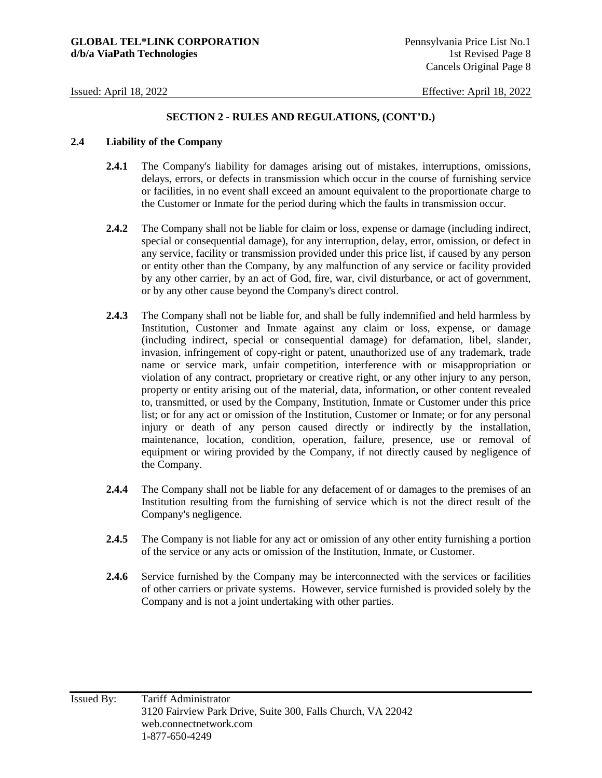#### **2.4 Liability of the Company**

- **2.4.1** The Company's liability for damages arising out of mistakes, interruptions, omissions, delays, errors, or defects in transmission which occur in the course of furnishing service or facilities, in no event shall exceed an amount equivalent to the proportionate charge to the Customer or Inmate for the period during which the faults in transmission occur.
- **2.4.2** The Company shall not be liable for claim or loss, expense or damage (including indirect, special or consequential damage), for any interruption, delay, error, omission, or defect in any service, facility or transmission provided under this price list, if caused by any person or entity other than the Company, by any malfunction of any service or facility provided by any other carrier, by an act of God, fire, war, civil disturbance, or act of government, or by any other cause beyond the Company's direct control.
- **2.4.3** The Company shall not be liable for, and shall be fully indemnified and held harmless by Institution, Customer and Inmate against any claim or loss, expense, or damage (including indirect, special or consequential damage) for defamation, libel, slander, invasion, infringement of copy-right or patent, unauthorized use of any trademark, trade name or service mark, unfair competition, interference with or misappropriation or violation of any contract, proprietary or creative right, or any other injury to any person, property or entity arising out of the material, data, information, or other content revealed to, transmitted, or used by the Company, Institution, Inmate or Customer under this price list; or for any act or omission of the Institution, Customer or Inmate; or for any personal injury or death of any person caused directly or indirectly by the installation, maintenance, location, condition, operation, failure, presence, use or removal of equipment or wiring provided by the Company, if not directly caused by negligence of the Company.
- **2.4.4** The Company shall not be liable for any defacement of or damages to the premises of an Institution resulting from the furnishing of service which is not the direct result of the Company's negligence.
- **2.4.5** The Company is not liable for any act or omission of any other entity furnishing a portion of the service or any acts or omission of the Institution, Inmate, or Customer.
- **2.4.6** Service furnished by the Company may be interconnected with the services or facilities of other carriers or private systems. However, service furnished is provided solely by the Company and is not a joint undertaking with other parties.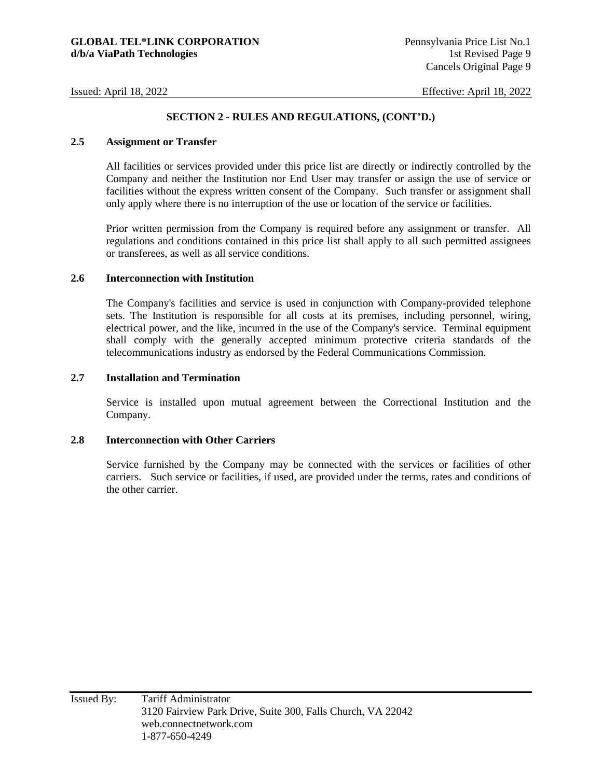#### **2.5 Assignment or Transfer**

All facilities or services provided under this price list are directly or indirectly controlled by the Company and neither the Institution nor End User may transfer or assign the use of service or facilities without the express written consent of the Company. Such transfer or assignment shall only apply where there is no interruption of the use or location of the service or facilities.

Prior written permission from the Company is required before any assignment or transfer. All regulations and conditions contained in this price list shall apply to all such permitted assignees or transferees, as well as all service conditions.

#### **2.6 Interconnection with Institution**

The Company's facilities and service is used in conjunction with Company-provided telephone sets. The Institution is responsible for all costs at its premises, including personnel, wiring, electrical power, and the like, incurred in the use of the Company's service. Terminal equipment shall comply with the generally accepted minimum protective criteria standards of the telecommunications industry as endorsed by the Federal Communications Commission.

#### **2.7 Installation and Termination**

Service is installed upon mutual agreement between the Correctional Institution and the Company.

#### **2.8 Interconnection with Other Carriers**

Service furnished by the Company may be connected with the services or facilities of other carriers. Such service or facilities, if used, are provided under the terms, rates and conditions of the other carrier.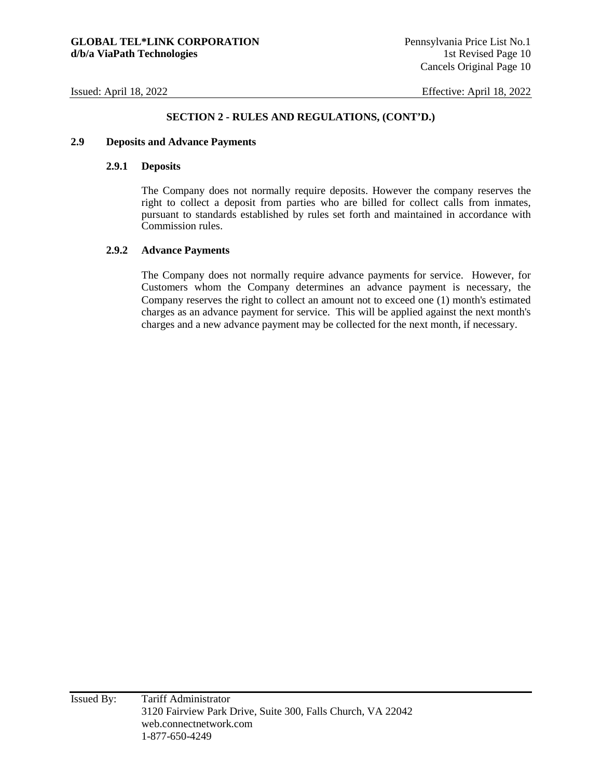#### **SECTION 2 - RULES AND REGULATIONS, (CONT'D.)**

#### **2.9 Deposits and Advance Payments**

#### **2.9.1 Deposits**

The Company does not normally require deposits. However the company reserves the right to collect a deposit from parties who are billed for collect calls from inmates, pursuant to standards established by rules set forth and maintained in accordance with Commission rules.

#### **2.9.2 Advance Payments**

The Company does not normally require advance payments for service. However, for Customers whom the Company determines an advance payment is necessary, the Company reserves the right to collect an amount not to exceed one (1) month's estimated charges as an advance payment for service. This will be applied against the next month's charges and a new advance payment may be collected for the next month, if necessary.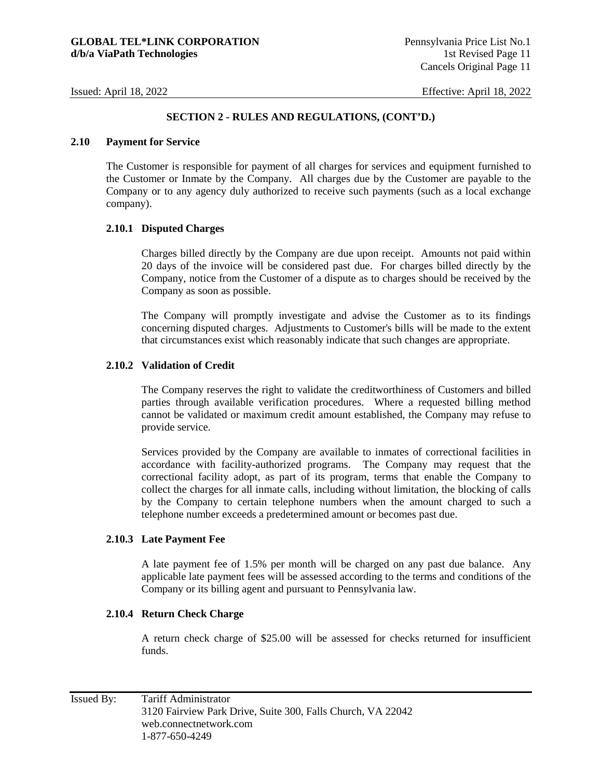#### **2.10 Payment for Service**

The Customer is responsible for payment of all charges for services and equipment furnished to the Customer or Inmate by the Company. All charges due by the Customer are payable to the Company or to any agency duly authorized to receive such payments (such as a local exchange company).

#### **2.10.1 Disputed Charges**

Charges billed directly by the Company are due upon receipt. Amounts not paid within 20 days of the invoice will be considered past due. For charges billed directly by the Company, notice from the Customer of a dispute as to charges should be received by the Company as soon as possible.

The Company will promptly investigate and advise the Customer as to its findings concerning disputed charges. Adjustments to Customer's bills will be made to the extent that circumstances exist which reasonably indicate that such changes are appropriate.

#### **2.10.2 Validation of Credit**

The Company reserves the right to validate the creditworthiness of Customers and billed parties through available verification procedures. Where a requested billing method cannot be validated or maximum credit amount established, the Company may refuse to provide service.

Services provided by the Company are available to inmates of correctional facilities in accordance with facility-authorized programs. The Company may request that the correctional facility adopt, as part of its program, terms that enable the Company to collect the charges for all inmate calls, including without limitation, the blocking of calls by the Company to certain telephone numbers when the amount charged to such a telephone number exceeds a predetermined amount or becomes past due.

#### **2.10.3 Late Payment Fee**

A late payment fee of 1.5% per month will be charged on any past due balance. Any applicable late payment fees will be assessed according to the terms and conditions of the Company or its billing agent and pursuant to Pennsylvania law.

#### **2.10.4 Return Check Charge**

A return check charge of \$25.00 will be assessed for checks returned for insufficient funds.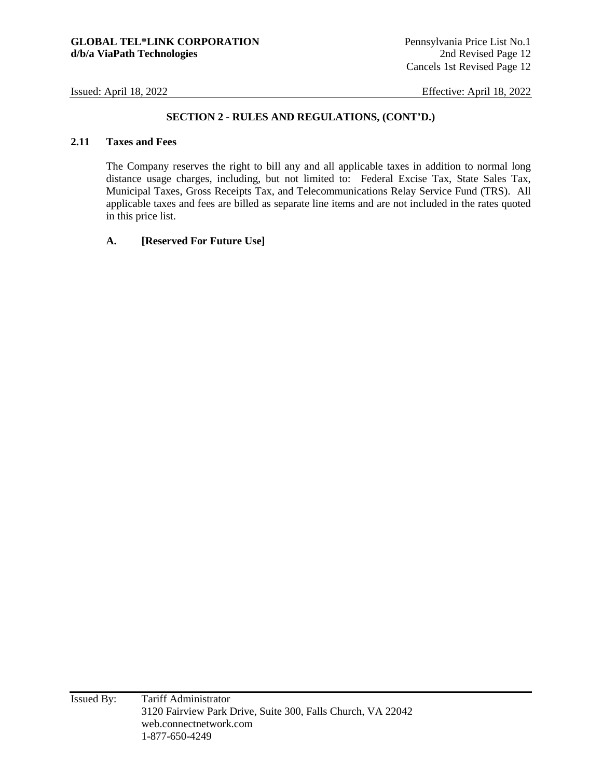#### **SECTION 2 - RULES AND REGULATIONS, (CONT'D.)**

#### **2.11 Taxes and Fees**

The Company reserves the right to bill any and all applicable taxes in addition to normal long distance usage charges, including, but not limited to: Federal Excise Tax, State Sales Tax, Municipal Taxes, Gross Receipts Tax, and Telecommunications Relay Service Fund (TRS). All applicable taxes and fees are billed as separate line items and are not included in the rates quoted in this price list.

#### **A. [Reserved For Future Use]**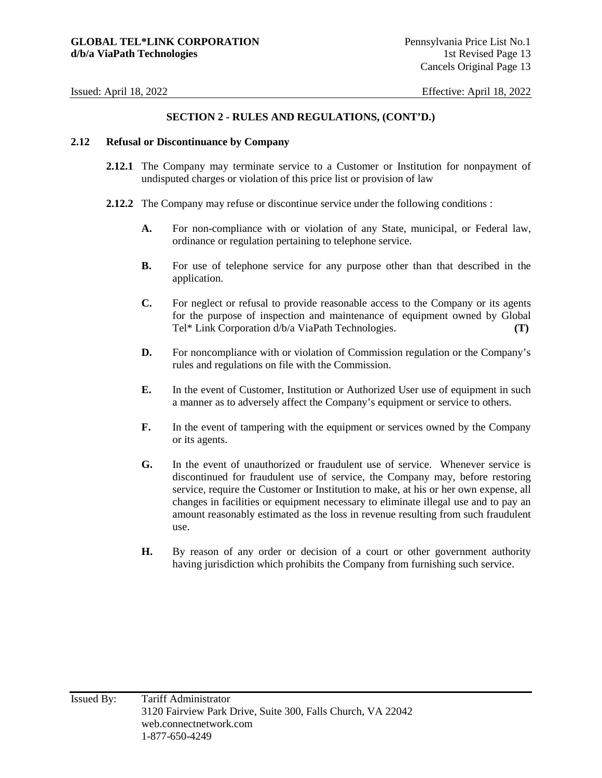#### **SECTION 2 - RULES AND REGULATIONS, (CONT'D.)**

#### **2.12 Refusal or Discontinuance by Company**

- **2.12.1** The Company may terminate service to a Customer or Institution for nonpayment of undisputed charges or violation of this price list or provision of law
- **2.12.2** The Company may refuse or discontinue service under the following conditions :
	- **A.** For non-compliance with or violation of any State, municipal, or Federal law, ordinance or regulation pertaining to telephone service.
	- **B.** For use of telephone service for any purpose other than that described in the application.
	- **C.** For neglect or refusal to provide reasonable access to the Company or its agents for the purpose of inspection and maintenance of equipment owned by Global Tel\* Link Corporation d/b/a ViaPath Technologies. **(T)**
	- **D.** For noncompliance with or violation of Commission regulation or the Company's rules and regulations on file with the Commission.
	- **E.** In the event of Customer, Institution or Authorized User use of equipment in such a manner as to adversely affect the Company's equipment or service to others.
	- **F.** In the event of tampering with the equipment or services owned by the Company or its agents.
	- **G.** In the event of unauthorized or fraudulent use of service. Whenever service is discontinued for fraudulent use of service, the Company may, before restoring service, require the Customer or Institution to make, at his or her own expense, all changes in facilities or equipment necessary to eliminate illegal use and to pay an amount reasonably estimated as the loss in revenue resulting from such fraudulent use.
	- **H.** By reason of any order or decision of a court or other government authority having jurisdiction which prohibits the Company from furnishing such service.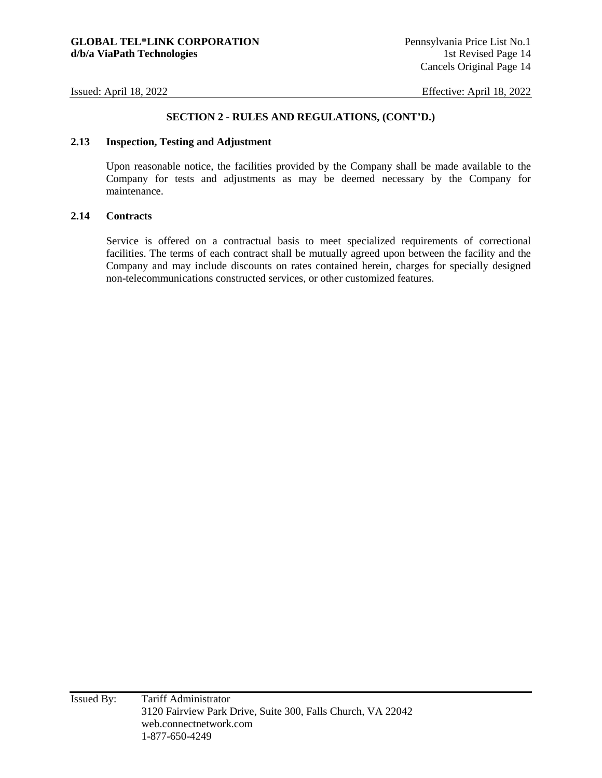#### **SECTION 2 - RULES AND REGULATIONS, (CONT'D.)**

### **2.13 Inspection, Testing and Adjustment**

Upon reasonable notice, the facilities provided by the Company shall be made available to the Company for tests and adjustments as may be deemed necessary by the Company for maintenance.

#### **2.14 Contracts**

Service is offered on a contractual basis to meet specialized requirements of correctional facilities. The terms of each contract shall be mutually agreed upon between the facility and the Company and may include discounts on rates contained herein, charges for specially designed non-telecommunications constructed services, or other customized features.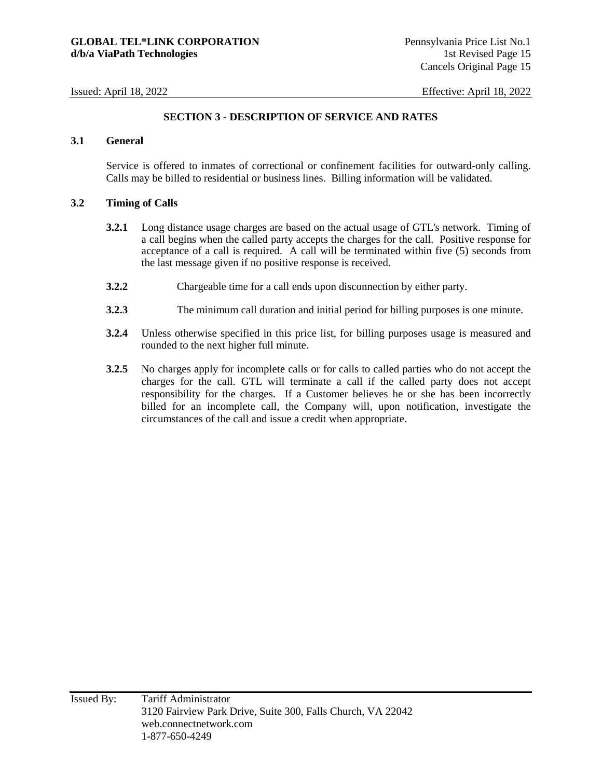#### **SECTION 3 - DESCRIPTION OF SERVICE AND RATES**

#### **3.1 General**

Service is offered to inmates of correctional or confinement facilities for outward-only calling. Calls may be billed to residential or business lines. Billing information will be validated.

#### **3.2 Timing of Calls**

- **3.2.1** Long distance usage charges are based on the actual usage of GTL's network. Timing of a call begins when the called party accepts the charges for the call. Positive response for acceptance of a call is required. A call will be terminated within five (5) seconds from the last message given if no positive response is received.
- **3.2.2** Chargeable time for a call ends upon disconnection by either party.
- **3.2.3** The minimum call duration and initial period for billing purposes is one minute.
- **3.2.4** Unless otherwise specified in this price list, for billing purposes usage is measured and rounded to the next higher full minute.
- **3.2.5** No charges apply for incomplete calls or for calls to called parties who do not accept the charges for the call. GTL will terminate a call if the called party does not accept responsibility for the charges. If a Customer believes he or she has been incorrectly billed for an incomplete call, the Company will, upon notification, investigate the circumstances of the call and issue a credit when appropriate.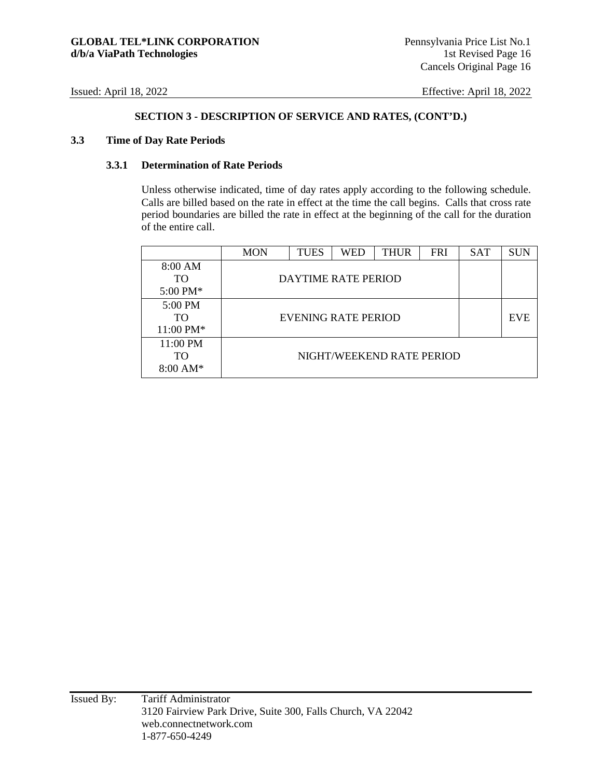#### **3.3 Time of Day Rate Periods**

#### **3.3.1 Determination of Rate Periods**

Unless otherwise indicated, time of day rates apply according to the following schedule. Calls are billed based on the rate in effect at the time the call begins. Calls that cross rate period boundaries are billed the rate in effect at the beginning of the call for the duration of the entire call.

|                    | <b>MON</b> | <b>TUES</b> | WED                 | THUR                      | <b>FRI</b> | <b>SAT</b> | <b>SUN</b> |
|--------------------|------------|-------------|---------------------|---------------------------|------------|------------|------------|
| 8:00 AM            |            |             |                     |                           |            |            |            |
| <b>TO</b>          |            |             | DAYTIME RATE PERIOD |                           |            |            |            |
| 5:00 PM*           |            |             |                     |                           |            |            |            |
| 5:00 PM            |            |             |                     |                           |            |            |            |
| <b>TO</b>          |            |             | EVENING RATE PERIOD |                           |            |            | <b>EVE</b> |
| 11:00 PM*          |            |             |                     |                           |            |            |            |
| 11:00 PM           |            |             |                     |                           |            |            |            |
| TO                 |            |             |                     | NIGHT/WEEKEND RATE PERIOD |            |            |            |
| $8:00 \text{ AM*}$ |            |             |                     |                           |            |            |            |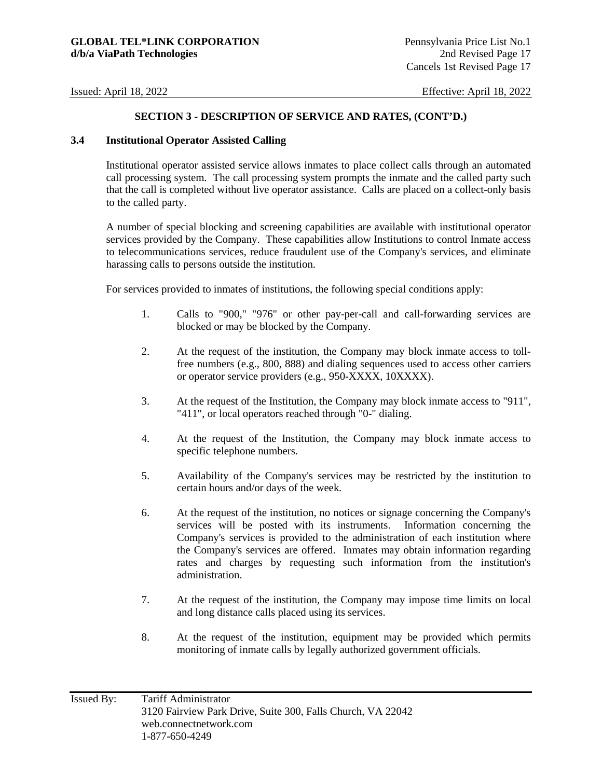#### **3.4 Institutional Operator Assisted Calling**

Institutional operator assisted service allows inmates to place collect calls through an automated call processing system. The call processing system prompts the inmate and the called party such that the call is completed without live operator assistance. Calls are placed on a collect-only basis to the called party.

A number of special blocking and screening capabilities are available with institutional operator services provided by the Company. These capabilities allow Institutions to control Inmate access to telecommunications services, reduce fraudulent use of the Company's services, and eliminate harassing calls to persons outside the institution.

For services provided to inmates of institutions, the following special conditions apply:

- 1. Calls to "900," "976" or other pay-per-call and call-forwarding services are blocked or may be blocked by the Company.
- 2. At the request of the institution, the Company may block inmate access to tollfree numbers (e.g., 800, 888) and dialing sequences used to access other carriers or operator service providers (e.g., 950-XXXX, 10XXXX).
- 3. At the request of the Institution, the Company may block inmate access to "911", "411", or local operators reached through "0-" dialing.
- 4. At the request of the Institution, the Company may block inmate access to specific telephone numbers.
- 5. Availability of the Company's services may be restricted by the institution to certain hours and/or days of the week.
- 6. At the request of the institution, no notices or signage concerning the Company's services will be posted with its instruments. Information concerning the Company's services is provided to the administration of each institution where the Company's services are offered. Inmates may obtain information regarding rates and charges by requesting such information from the institution's administration.
- 7. At the request of the institution, the Company may impose time limits on local and long distance calls placed using its services.
- 8. At the request of the institution, equipment may be provided which permits monitoring of inmate calls by legally authorized government officials.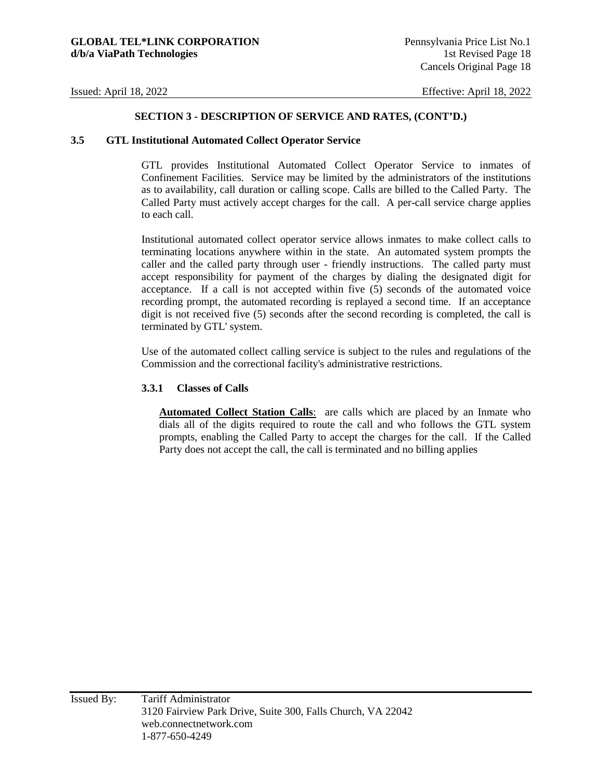#### **3.5 GTL Institutional Automated Collect Operator Service**

GTL provides Institutional Automated Collect Operator Service to inmates of Confinement Facilities. Service may be limited by the administrators of the institutions as to availability, call duration or calling scope. Calls are billed to the Called Party. The Called Party must actively accept charges for the call. A per-call service charge applies to each call.

Institutional automated collect operator service allows inmates to make collect calls to terminating locations anywhere within in the state. An automated system prompts the caller and the called party through user - friendly instructions. The called party must accept responsibility for payment of the charges by dialing the designated digit for acceptance. If a call is not accepted within five (5) seconds of the automated voice recording prompt, the automated recording is replayed a second time. If an acceptance digit is not received five (5) seconds after the second recording is completed, the call is terminated by GTL' system.

Use of the automated collect calling service is subject to the rules and regulations of the Commission and the correctional facility's administrative restrictions.

#### **3.3.1 Classes of Calls**

**Automated Collect Station Calls**: are calls which are placed by an Inmate who dials all of the digits required to route the call and who follows the GTL system prompts, enabling the Called Party to accept the charges for the call. If the Called Party does not accept the call, the call is terminated and no billing applies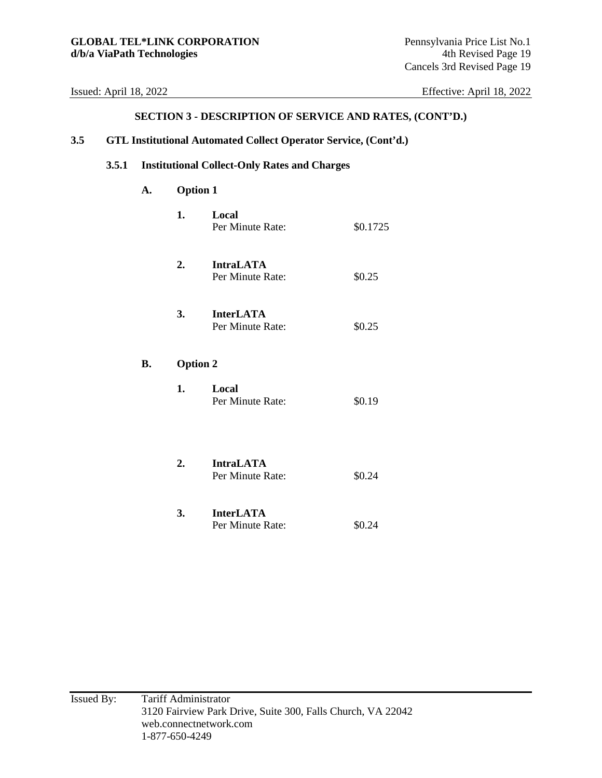#### **SECTION 3 - DESCRIPTION OF SERVICE AND RATES, (CONT'D.)**

### **3.5 GTL Institutional Automated Collect Operator Service, (Cont'd.)**

#### **3.5.1 Institutional Collect-Only Rates and Charges**

### **A. Option 1**

**B.** 

| 1.              | Local<br>Per Minute Rate:            | \$0.1725 |
|-----------------|--------------------------------------|----------|
| 2.              | <b>IntraLATA</b><br>Per Minute Rate: | \$0.25   |
| 3.              | <b>InterLATA</b><br>Per Minute Rate: | \$0.25   |
| <b>Option 2</b> |                                      |          |
| 1.              | Local<br>Per Minute Rate:            | \$0.19   |
| 2.              | <b>IntraLATA</b><br>Per Minute Rate: | \$0.24   |
| 3.              | <b>InterLATA</b>                     |          |

Per Minute Rate:  $$0.24$ 

Issued By: Tariff Administrator 3120 Fairview Park Drive, Suite 300, Falls Church, VA 22042 web.connectnetwork.com 1-877-650-4249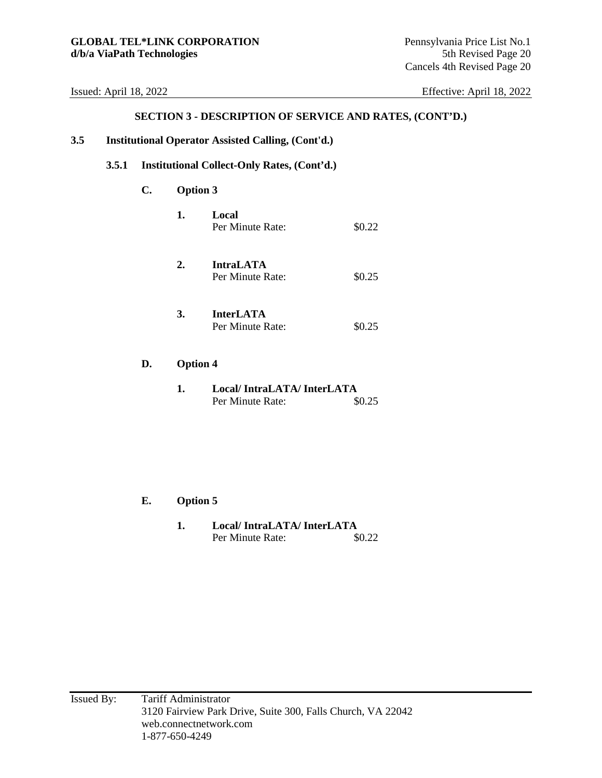#### **SECTION 3 - DESCRIPTION OF SERVICE AND RATES, (CONT'D.)**

#### **3.5 Institutional Operator Assisted Calling, (Cont'd.)**

#### **3.5.1 Institutional Collect-Only Rates, (Cont'd.)**

#### **C. Option 3**

| 1. | Local            |        |
|----|------------------|--------|
|    | Per Minute Rate: | \$0.22 |
|    |                  |        |

- **2. IntraLATA**  Per Minute Rate:  $$0.25$
- **3. InterLATA**  Per Minute Rate:  $$0.25$
- **D. Option 4** 
	- **1. Local/ IntraLATA/ InterLATA**  Per Minute Rate:  $$0.25$

#### **E. Option 5**

**1. Local/ IntraLATA/ InterLATA**  Per Minute Rate:  $$0.22$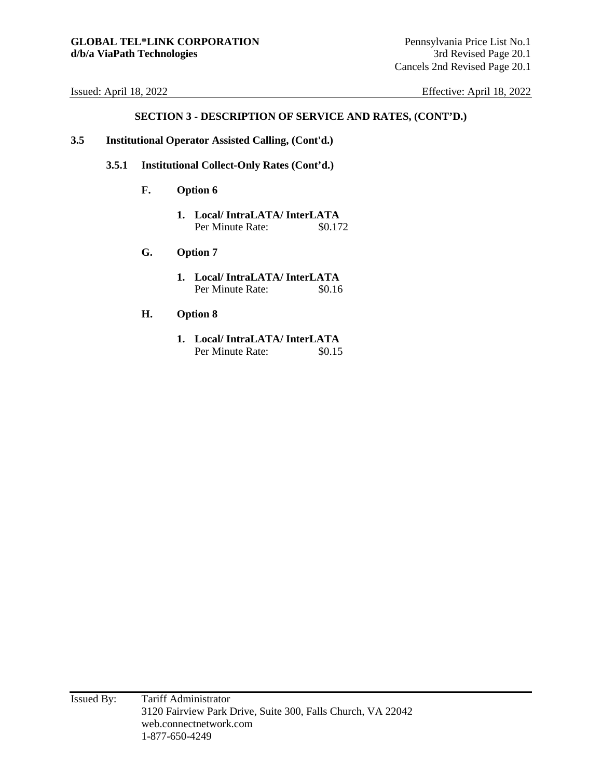- **3.5 Institutional Operator Assisted Calling, (Cont'd.)** 
	- **3.5.1 Institutional Collect-Only Rates (Cont'd.)** 
		- **F. Option 6** 
			- **1. Local/ IntraLATA/ InterLATA**  Per Minute Rate: \$0.172
		- **G. Option 7** 
			- **1. Local/ IntraLATA/ InterLATA**  Per Minute Rate: \$0.16
		- **H. Option 8** 
			- **1. Local/ IntraLATA/ InterLATA**  Per Minute Rate:  $$0.15$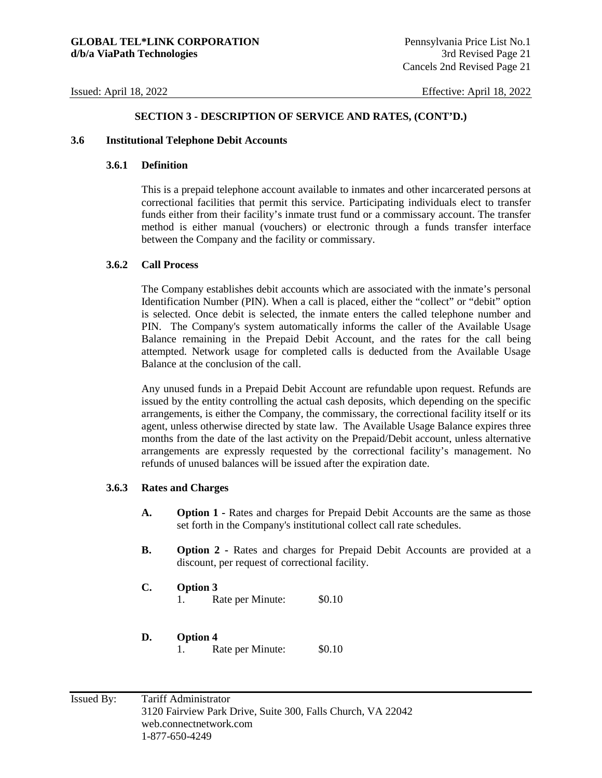#### **3.6 Institutional Telephone Debit Accounts**

#### **3.6.1 Definition**

This is a prepaid telephone account available to inmates and other incarcerated persons at correctional facilities that permit this service. Participating individuals elect to transfer funds either from their facility's inmate trust fund or a commissary account. The transfer method is either manual (vouchers) or electronic through a funds transfer interface between the Company and the facility or commissary.

#### **3.6.2 Call Process**

The Company establishes debit accounts which are associated with the inmate's personal Identification Number (PIN). When a call is placed, either the "collect" or "debit" option is selected. Once debit is selected, the inmate enters the called telephone number and PIN. The Company's system automatically informs the caller of the Available Usage Balance remaining in the Prepaid Debit Account, and the rates for the call being attempted. Network usage for completed calls is deducted from the Available Usage Balance at the conclusion of the call.

Any unused funds in a Prepaid Debit Account are refundable upon request. Refunds are issued by the entity controlling the actual cash deposits, which depending on the specific arrangements, is either the Company, the commissary, the correctional facility itself or its agent, unless otherwise directed by state law. The Available Usage Balance expires three months from the date of the last activity on the Prepaid/Debit account, unless alternative arrangements are expressly requested by the correctional facility's management. No refunds of unused balances will be issued after the expiration date.

#### **3.6.3 Rates and Charges**

- **A. Option 1** Rates and charges for Prepaid Debit Accounts are the same as those set forth in the Company's institutional collect call rate schedules.
- **B.** Option 2 Rates and charges for Prepaid Debit Accounts are provided at a discount, per request of correctional facility.
- **C. Option 3** 
	- 1. Rate per Minute: \$0.10
- **D. Option 4** 
	- 1. Rate per Minute: \$0.10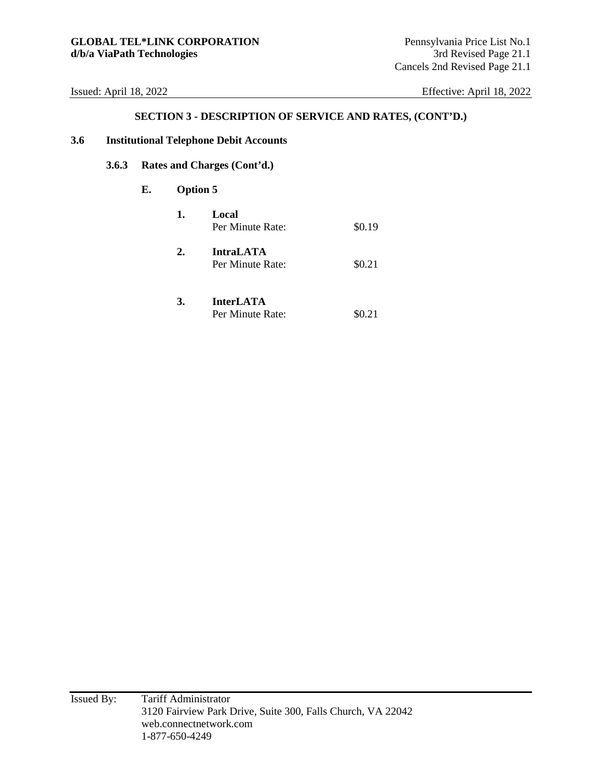#### **SECTION 3 - DESCRIPTION OF SERVICE AND RATES, (CONT'D.)**

#### **3.6 Institutional Telephone Debit Accounts**

## **3.6.3 Rates and Charges (Cont'd.)**

#### **E. Option 5**

| 1. | Local<br>Per Minute Rate:            | \$0.19 |
|----|--------------------------------------|--------|
| 2. | <b>IntraLATA</b><br>Per Minute Rate: | \$0.21 |

#### **3. InterLATA**  Per Minute Rate:  $$0.21$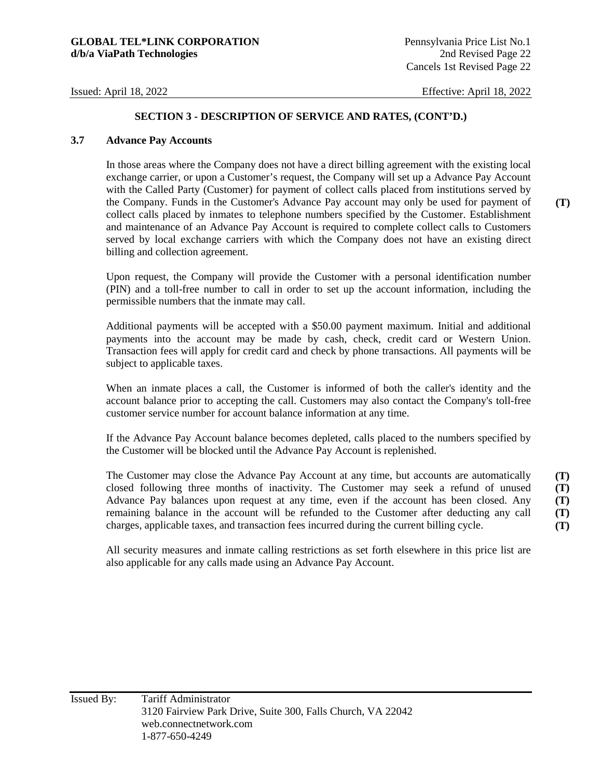#### **3.7 Advance Pay Accounts**

In those areas where the Company does not have a direct billing agreement with the existing local exchange carrier, or upon a Customer's request, the Company will set up a Advance Pay Account with the Called Party (Customer) for payment of collect calls placed from institutions served by the Company. Funds in the Customer's Advance Pay account may only be used for payment of collect calls placed by inmates to telephone numbers specified by the Customer. Establishment and maintenance of an Advance Pay Account is required to complete collect calls to Customers served by local exchange carriers with which the Company does not have an existing direct billing and collection agreement.

Upon request, the Company will provide the Customer with a personal identification number (PIN) and a toll-free number to call in order to set up the account information, including the permissible numbers that the inmate may call.

Additional payments will be accepted with a \$50.00 payment maximum. Initial and additional payments into the account may be made by cash, check, credit card or Western Union. Transaction fees will apply for credit card and check by phone transactions. All payments will be subject to applicable taxes.

When an inmate places a call, the Customer is informed of both the caller's identity and the account balance prior to accepting the call. Customers may also contact the Company's toll-free customer service number for account balance information at any time.

If the Advance Pay Account balance becomes depleted, calls placed to the numbers specified by the Customer will be blocked until the Advance Pay Account is replenished.

The Customer may close the Advance Pay Account at any time, but accounts are automatically closed following three months of inactivity. The Customer may seek a refund of unused Advance Pay balances upon request at any time, even if the account has been closed. Any remaining balance in the account will be refunded to the Customer after deducting any call charges, applicable taxes, and transaction fees incurred during the current billing cycle. **(T) (T) (T) (T) (T)** 

All security measures and inmate calling restrictions as set forth elsewhere in this price list are also applicable for any calls made using an Advance Pay Account.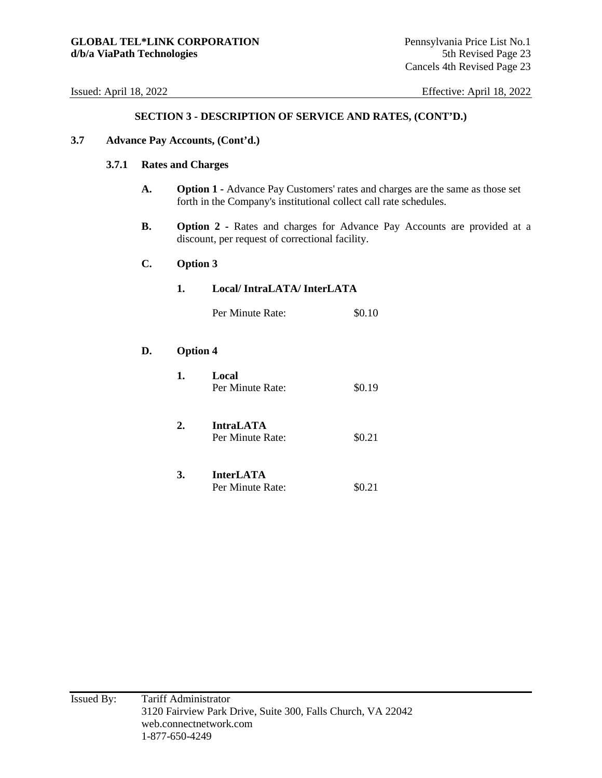#### **3.7 Advance Pay Accounts, (Cont'd.)**

#### **3.7.1 Rates and Charges**

- **A. Option 1** Advance Pay Customers' rates and charges are the same as those set forth in the Company's institutional collect call rate schedules.
- **B.** Option 2 Rates and charges for Advance Pay Accounts are provided at a discount, per request of correctional facility.

#### **C. Option 3**

**D. Option 4** 

| 1.              | Local/IntraLATA/InterLATA            |        |  |
|-----------------|--------------------------------------|--------|--|
|                 | Per Minute Rate:                     | \$0.10 |  |
| <b>Option 4</b> |                                      |        |  |
| 1.              | Local<br>Per Minute Rate:            | \$0.19 |  |
| 2.              | <b>IntraLATA</b><br>Per Minute Rate: | \$0.21 |  |
| 3.              | <b>InterLATA</b><br>Per Minute Rate: | \$0.21 |  |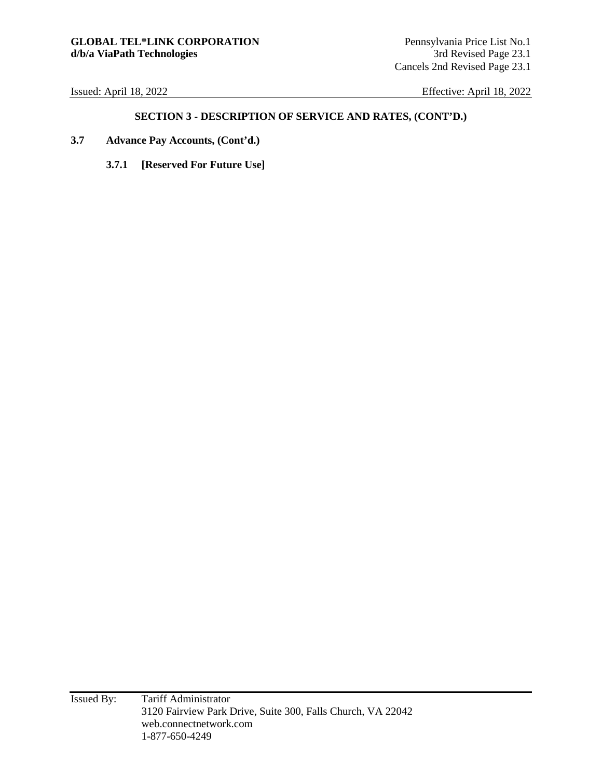- **3.7 Advance Pay Accounts, (Cont'd.)** 
	- **3.7.1 [Reserved For Future Use]**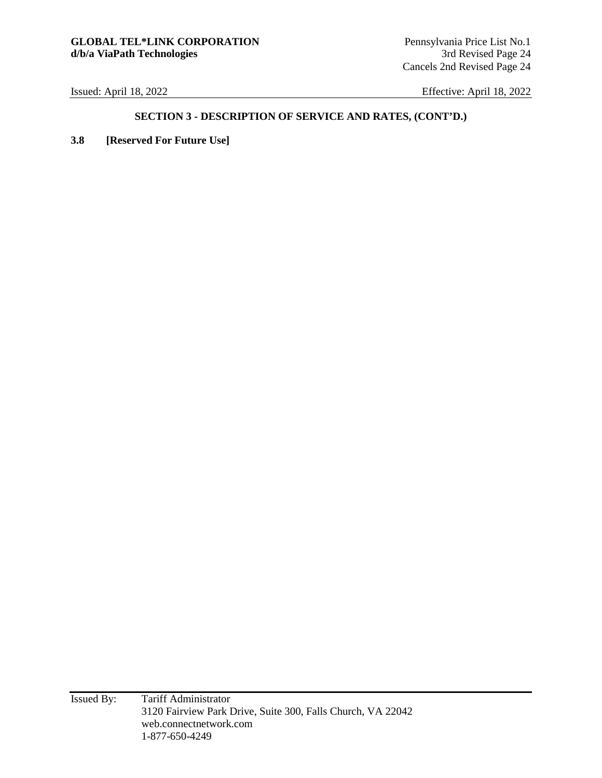### **SECTION 3 - DESCRIPTION OF SERVICE AND RATES, (CONT'D.)**

**3.8 [Reserved For Future Use]**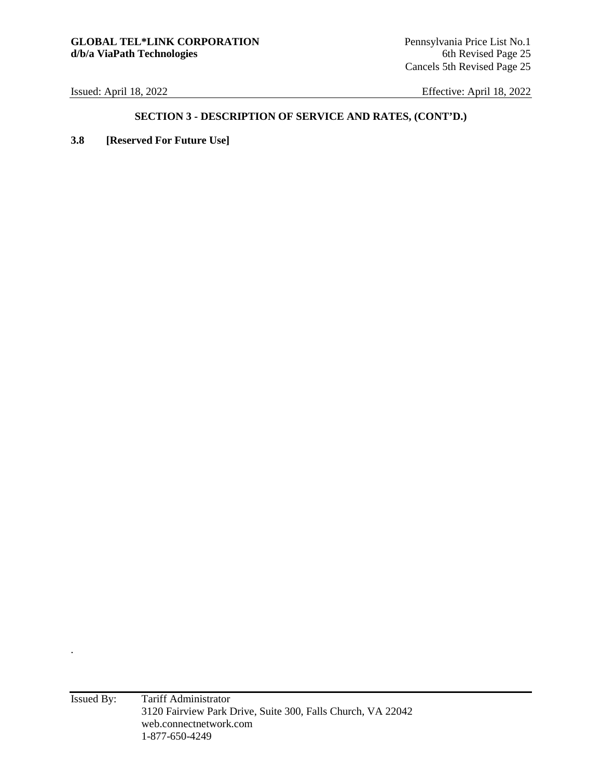.

Issued: April 18, 2022 Effective: April 18, 2022

### **SECTION 3 - DESCRIPTION OF SERVICE AND RATES, (CONT'D.)**

**3.8 [Reserved For Future Use]**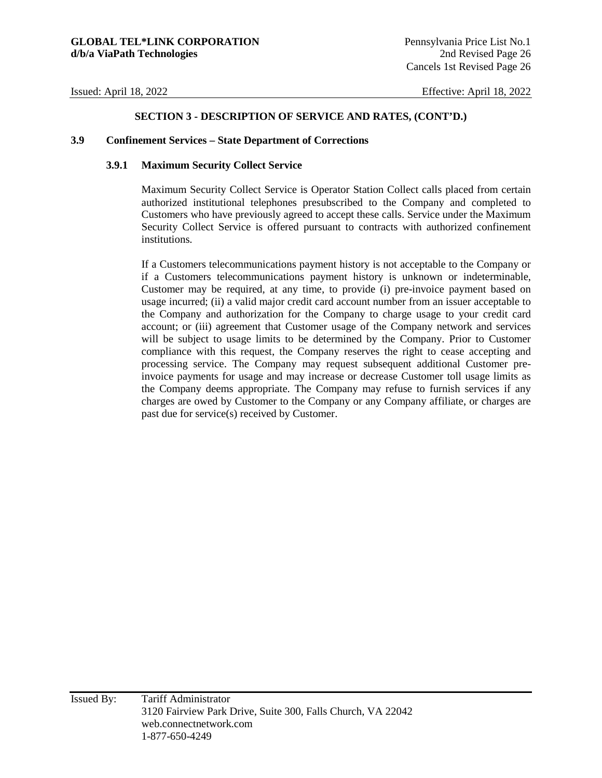#### **3.9 Confinement Services – State Department of Corrections**

#### **3.9.1 Maximum Security Collect Service**

Maximum Security Collect Service is Operator Station Collect calls placed from certain authorized institutional telephones presubscribed to the Company and completed to Customers who have previously agreed to accept these calls. Service under the Maximum Security Collect Service is offered pursuant to contracts with authorized confinement institutions.

If a Customers telecommunications payment history is not acceptable to the Company or if a Customers telecommunications payment history is unknown or indeterminable, Customer may be required, at any time, to provide (i) pre-invoice payment based on usage incurred; (ii) a valid major credit card account number from an issuer acceptable to the Company and authorization for the Company to charge usage to your credit card account; or (iii) agreement that Customer usage of the Company network and services will be subject to usage limits to be determined by the Company. Prior to Customer compliance with this request, the Company reserves the right to cease accepting and processing service. The Company may request subsequent additional Customer preinvoice payments for usage and may increase or decrease Customer toll usage limits as the Company deems appropriate. The Company may refuse to furnish services if any charges are owed by Customer to the Company or any Company affiliate, or charges are past due for service(s) received by Customer.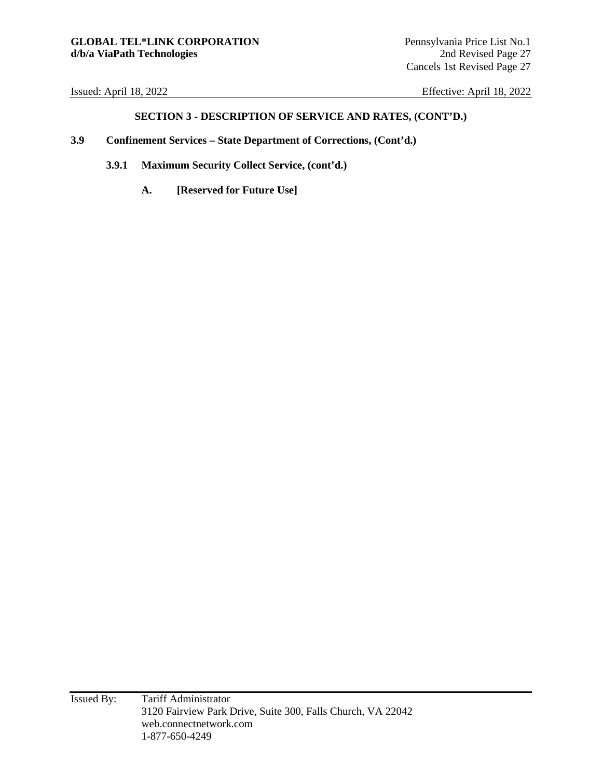- **3.9 Confinement Services State Department of Corrections, (Cont'd.)**
	- **3.9.1 Maximum Security Collect Service, (cont'd.)** 
		- **A. [Reserved for Future Use]**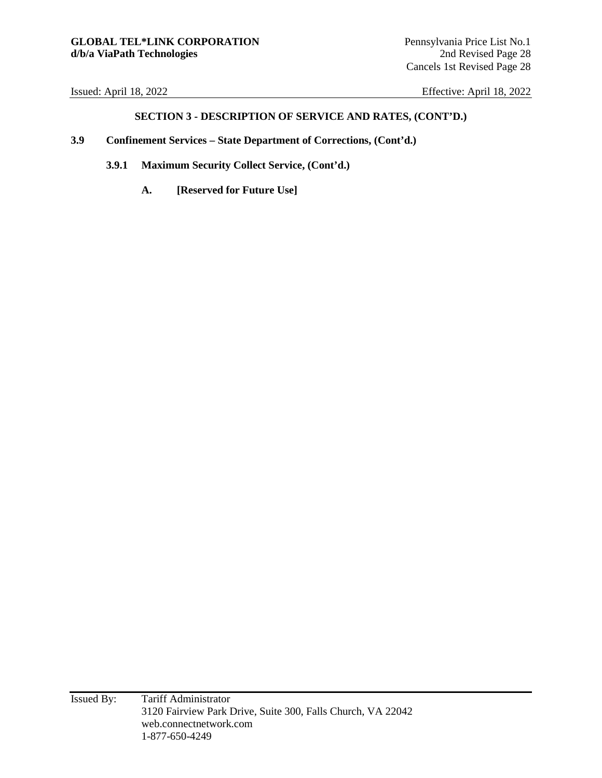- **3.9 Confinement Services State Department of Corrections, (Cont'd.)**
	- **3.9.1 Maximum Security Collect Service, (Cont'd.)** 
		- **A. [Reserved for Future Use]**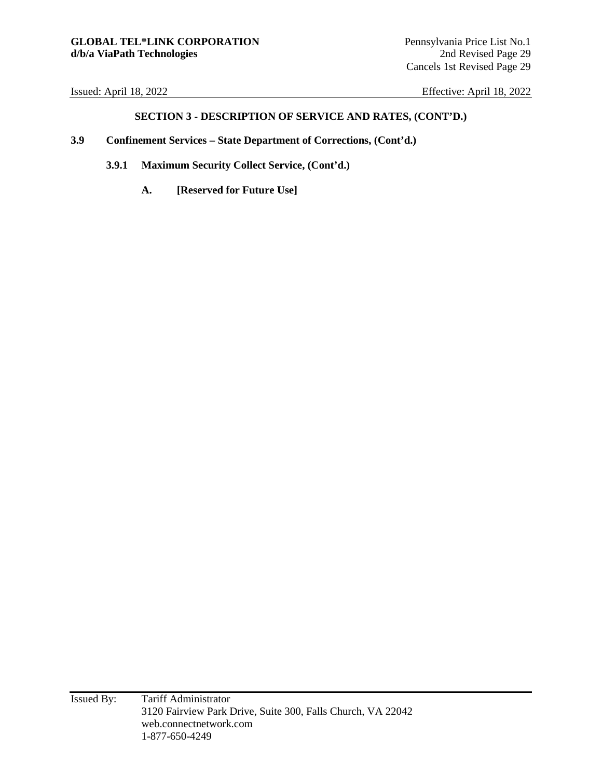- **3.9 Confinement Services State Department of Corrections, (Cont'd.)**
	- **3.9.1 Maximum Security Collect Service, (Cont'd.)** 
		- **A. [Reserved for Future Use]**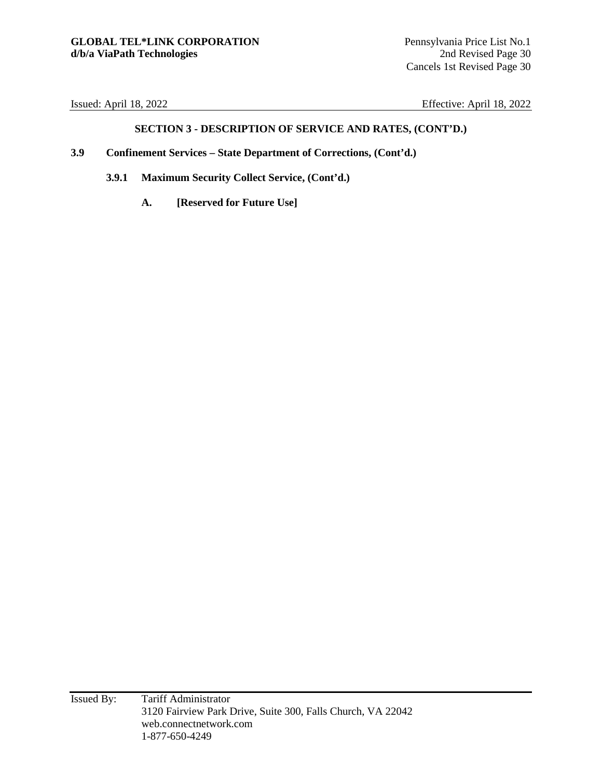- **3.9 Confinement Services State Department of Corrections, (Cont'd.)**
	- **3.9.1 Maximum Security Collect Service, (Cont'd.)** 
		- **A. [Reserved for Future Use]**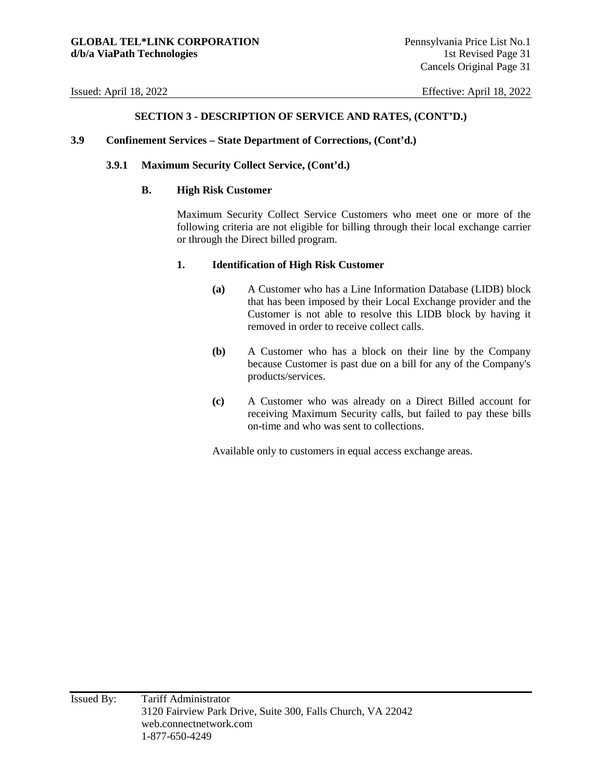#### **3.9 Confinement Services – State Department of Corrections, (Cont'd.)**

#### **3.9.1 Maximum Security Collect Service, (Cont'd.)**

#### **B. High Risk Customer**

Maximum Security Collect Service Customers who meet one or more of the following criteria are not eligible for billing through their local exchange carrier or through the Direct billed program.

#### **1. Identification of High Risk Customer**

- **(a)** A Customer who has a Line Information Database (LIDB) block that has been imposed by their Local Exchange provider and the Customer is not able to resolve this LIDB block by having it removed in order to receive collect calls.
- **(b)** A Customer who has a block on their line by the Company because Customer is past due on a bill for any of the Company's products/services.
- **(c)** A Customer who was already on a Direct Billed account for receiving Maximum Security calls, but failed to pay these bills on-time and who was sent to collections.

Available only to customers in equal access exchange areas.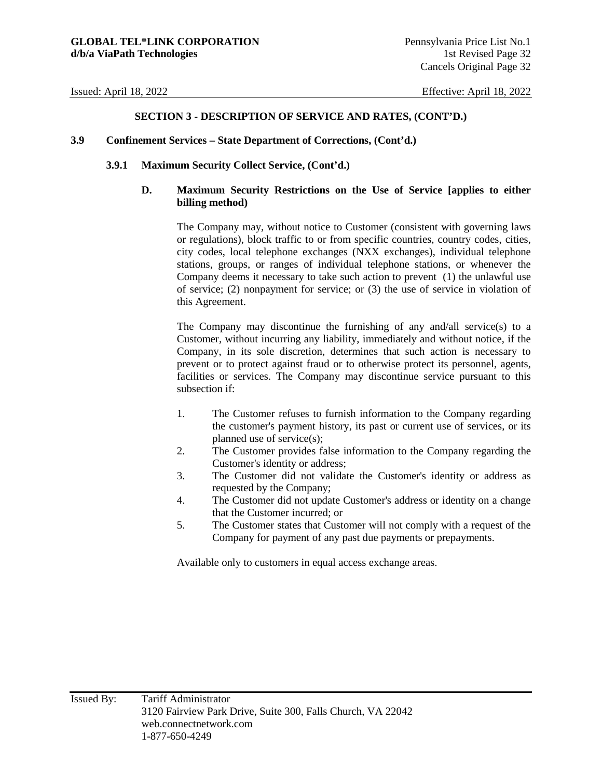#### **3.9 Confinement Services – State Department of Corrections, (Cont'd.)**

#### **3.9.1 Maximum Security Collect Service, (Cont'd.)**

#### **D. Maximum Security Restrictions on the Use of Service [applies to either billing method)**

The Company may, without notice to Customer (consistent with governing laws or regulations), block traffic to or from specific countries, country codes, cities, city codes, local telephone exchanges (NXX exchanges), individual telephone stations, groups, or ranges of individual telephone stations, or whenever the Company deems it necessary to take such action to prevent (1) the unlawful use of service; (2) nonpayment for service; or (3) the use of service in violation of this Agreement.

The Company may discontinue the furnishing of any and/all service(s) to a Customer, without incurring any liability, immediately and without notice, if the Company, in its sole discretion, determines that such action is necessary to prevent or to protect against fraud or to otherwise protect its personnel, agents, facilities or services. The Company may discontinue service pursuant to this subsection if:

- 1. The Customer refuses to furnish information to the Company regarding the customer's payment history, its past or current use of services, or its planned use of service(s);
- 2. The Customer provides false information to the Company regarding the Customer's identity or address;
- 3. The Customer did not validate the Customer's identity or address as requested by the Company;
- 4. The Customer did not update Customer's address or identity on a change that the Customer incurred; or
- 5. The Customer states that Customer will not comply with a request of the Company for payment of any past due payments or prepayments.

Available only to customers in equal access exchange areas.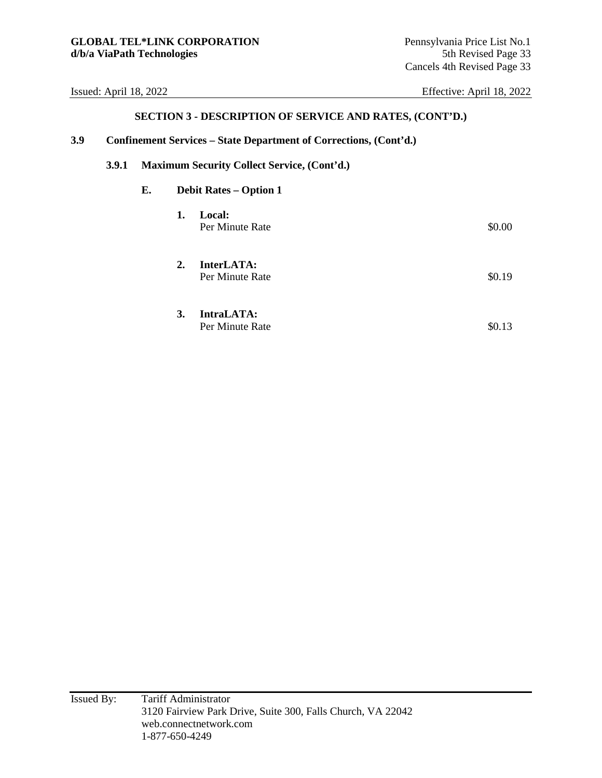| 3.9 |              |                                             |    | Confinement Services – State Department of Corrections, (Cont'd.) |        |  |  |
|-----|--------------|---------------------------------------------|----|-------------------------------------------------------------------|--------|--|--|
|     | <b>3.9.1</b> | Maximum Security Collect Service, (Cont'd.) |    |                                                                   |        |  |  |
|     |              | Е.                                          |    | <b>Debit Rates – Option 1</b>                                     |        |  |  |
|     |              |                                             | 1. | Local:<br>Per Minute Rate                                         | \$0.00 |  |  |
|     |              |                                             | 2. | InterLATA:<br>Per Minute Rate                                     | \$0.19 |  |  |
|     |              |                                             | 3. | IntraLATA:<br>Per Minute Rate                                     | \$0.13 |  |  |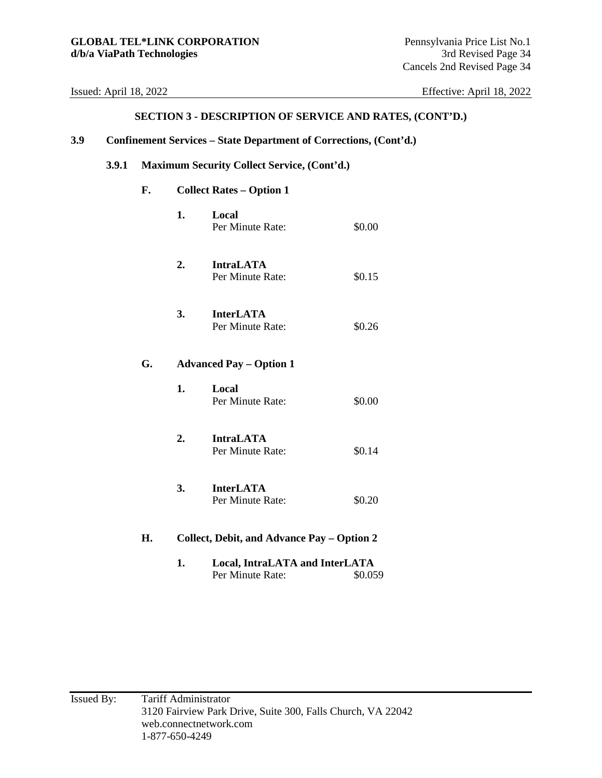#### **SECTION 3 - DESCRIPTION OF SERVICE AND RATES, (CONT'D.)**

### **3.9 Confinement Services – State Department of Corrections, (Cont'd.)**

# **3.9.1 Maximum Security Collect Service, (Cont'd.)**

# **F. Collect Rates – Option 1**

|    | 1. | Local<br>Per Minute Rate:                          | \$0.00  |
|----|----|----------------------------------------------------|---------|
|    | 2. | <b>IntraLATA</b><br>Per Minute Rate:               | \$0.15  |
|    | 3. | <b>InterLATA</b><br>Per Minute Rate:               | \$0.26  |
| G. |    | <b>Advanced Pay - Option 1</b>                     |         |
|    | 1. | Local<br>Per Minute Rate:                          | \$0.00  |
|    | 2. | <b>IntraLATA</b><br>Per Minute Rate:               | \$0.14  |
|    | 3. | <b>InterLATA</b><br>Per Minute Rate:               | \$0.20  |
| Н. |    | Collect, Debit, and Advance Pay - Option 2         |         |
|    | 1. | Local, IntraLATA and InterLATA<br>Per Minute Rate: | \$0.059 |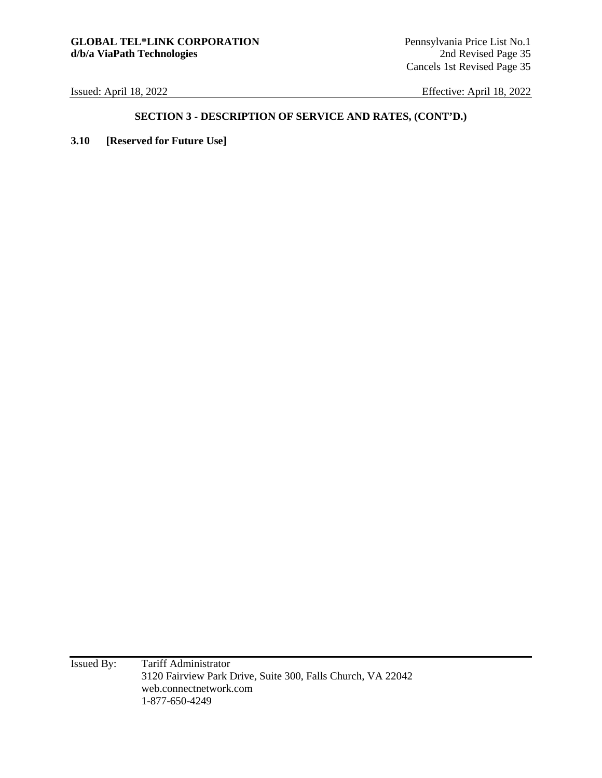# **SECTION 3 - DESCRIPTION OF SERVICE AND RATES, (CONT'D.)**

**3.10 [Reserved for Future Use]** 

Issued By: Tariff Administrator 3120 Fairview Park Drive, Suite 300, Falls Church, VA 22042 web.connectnetwork.com 1-877-650-4249